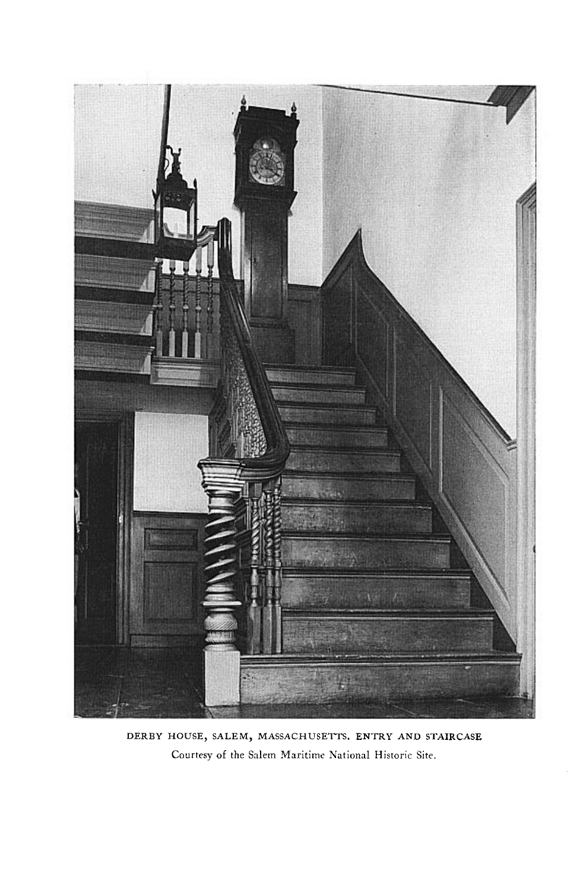

**DERBY HOUSE, SALEM, MASSACHUSETTS. ENTRY AND STAIRCASE Courtesy of the Salem Maritime National Historic Site.**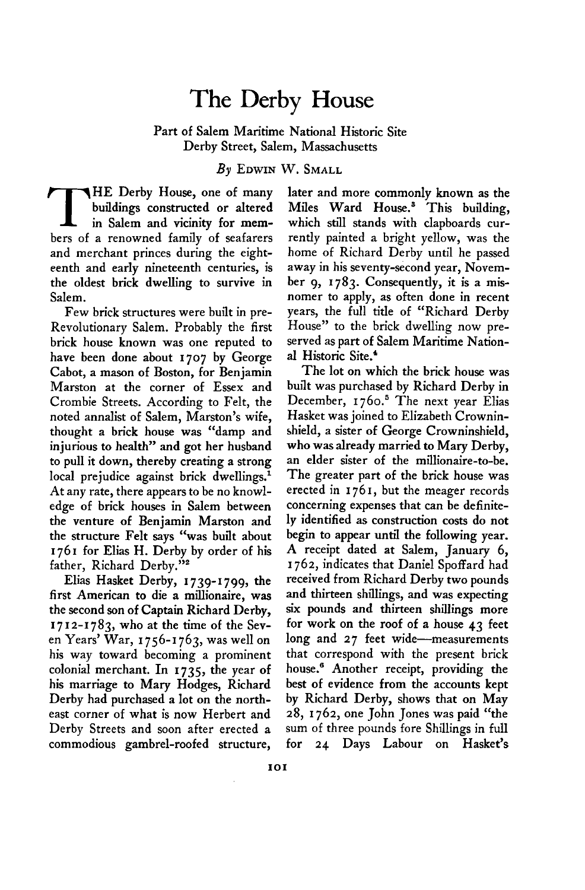## **The Derby House**

**Part of Salem Maritime National Historic Site Derby Street, Salem, Massachusetts** 

**By EDWIN W. SMALL** 

**T HE Derby House, one of many buildings constructed or altered in Salem and vicinity for members of a renowned family of seafarers and merchant princes during the eighteenth and early nineteenth centuries, is the oldest brick dwelling to survive in Salem.** 

**Few brick structures were built in pre-Revolutionary Salem. Probably the first brick house known was one reputed to have been done about 1707 by George Cabot, a mason of Boston, for Benjamin Marston at the corner of Essex and Crombie Streets. According to Felt, the noted annalist of Salem, Marston's wife, thought a brick house was "damp and injurious to health" and got her husband to pull it down, thereby creating a strong local prejudice against brick dwellings.' At any rate, there appears to be no knowledge of brick houses in Salem between the venture of Benjamin Marston and the structure Felt says "was built about I 76 I for Elias H. Derby by order of his father, Richard Derby."\*** 

**Elias Hasket Derby, 1739-1799, the first American to die a millionaire, was the second son of Captain Richard Derby, I 7 I 2-1783, who at the time of the Seven Years' War, I 756-1763, was well on his way toward becoming a prominent colonial merchant. In 1735, the year of his marriage to Mary Hodges, Richard Derby had purchased a lot on the northeast corner of what is now Herbert and Derby Streets and soon after erected a commodious gambrel-roofed structure,** 

**later and more commonly known as the**  Miles Ward House.<sup>3</sup> This building, **which still stands with clapboards currently painted a bright yellow, was the home of Richard Derby until he passed away in his seventy-second year, November 9, 1783. Consequently, it is a misnomer to apply, as often done in recent years, the full title of "Richard Derby House" to the brick dwelling now preserved as part of Salem Maritime National Historic Site.'** 

**The lot on which the brick house was built was purchased by Richard Derby in December, I 760.~ The next year Elias Hasket was joined to Elizabeth Crowninshield, a sister of George Crowninshield, who was already married to Mary Derby, an elder sister of the millionaire-to-be.**  The greater part of the brick house was **erected in 1761, but the meager records concerning expenses that can be definitely identified as construction costs do not begin to appear until the following year. A receipt dated at Salem, January 6, I 762, indicates that Daniel Spoffard had received from Richard Derby two pounds and thirteen shillings, and was expecting six pounds and thirteen shillings more for work on the roof of a house 43 feet long and 27 feet wide-measurements that correspond with the present brick house.6 Another receipt, providing the best of evidence from the accounts kept by Richard Derby, shows that on May 28, 1762, one John Jones was paid "the sum of three pounds fore Shillings in full for 24 Days Labour on Hasket's**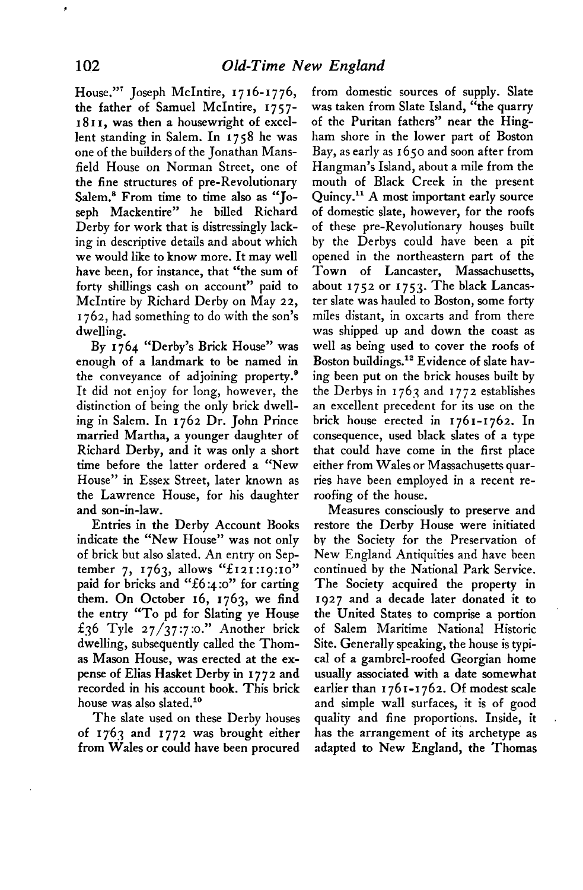**House."' Joseph McIntire, 1716-1776, the father of Samuel McIntire, 1757- I 8 I I, was then a housewright of excellent standing in Salem. In I 758 he was one of the builders of the Jonathan Mansfield House on Norman Street, one of the fine structures of pre-Revolutionary Salem.' From time to time also as "Joseph Mackentire" he billed Richard Derby for work that is distressingly lacking in descriptive details and about which we would like to know more. It may well have been, for instance, that "the sum of forty shillings cash on account" paid to McIntire by Richard Derby on May 22, 1762, had something to do with the son's dwelling.** 

**By 1764 "Derby's Brick House" was enough of a landmark to be named in the conveyance of adjoining property.' It did not enjoy for long, however, the distinction of being the only brick dwelling in Salem. In 1762 Dr. John Prince married Martha, a younger daughter of Richard Derby, and it was only a short time before the latter ordered a "New House" in Essex Street, later known as the Lawrence House, for his daughter and son-in-law.** 

**Entries in the Derby Account Books indicate the "New House" was not only of brick but also slated. An entry on Sep**tember 7, 1763, allows "£121:19:10" paid for bricks and "£6:4:0" for carting **them. On October 16, 1763, we find the entry "To pd for Slating ye House f36 Tyle 27/37:7 :o." Another brick dwelling, subsequently called the Thomas Mason House, was erected at the expense of Elias Hasket Derby in 1772 and recorded in his account book. This brick**  house was also slated.<sup>10</sup>

**The slate used on these Derby houses of I 763 and I 772 was brought either from Wales or could have been orocured**  **from domestic sources of supply. Slate was taken from Slate Island, "the quarry of the Puritan fathers" near the Hingham shore in the lower part of Boston Bay, as early as 1650 and soon after from Hangman's Island, about a mile from the mouth of Black Creek in the present Quincy.l' A most important early source of domestic slate, however, for the roofs of these pre-Revolutionary houses built by the Derbys could have been a pit opened in the northeastern part of the Town of Lancaster, Massachusetts, about 1752 or 1753. The black Lancaster slate was hauled to Boston, some forty miles distant, in oxcarts and from there was shipped up and down the coast as well as being used to cover the roofs of**  Boston buildings.<sup>12</sup> Evidence of slate hav**ing been put on the brick houses built by the Derbys in I 763 and I 772 establishes an excellent precedent for its use on the brick house erected in 1761-1762. In consequence, used black slates of a type that could have come in the first place either from Wales or Massachusetts quarries have been employed in a recent reroofing of the house.** 

**Measures consciously to preserve and restore the Derby House were initiated bv the Society for the Preservation of New England Antiquities and have been continued by the National Park Service. The Society acquired the property in 1927 and a decade later donated it to the United States to comprise a portion of Salem Maritime National Historic Site. Generally speaking, the house is typical of a gambrel-roofed Georgian home usually associated with a date somewhat earlier than I 76 I-I 762. Of modest scale and simple wall surfaces, it is of good quality and fine proportions. Inside, it has the arrangement of its archetype as**  adapted to New England, the Thomas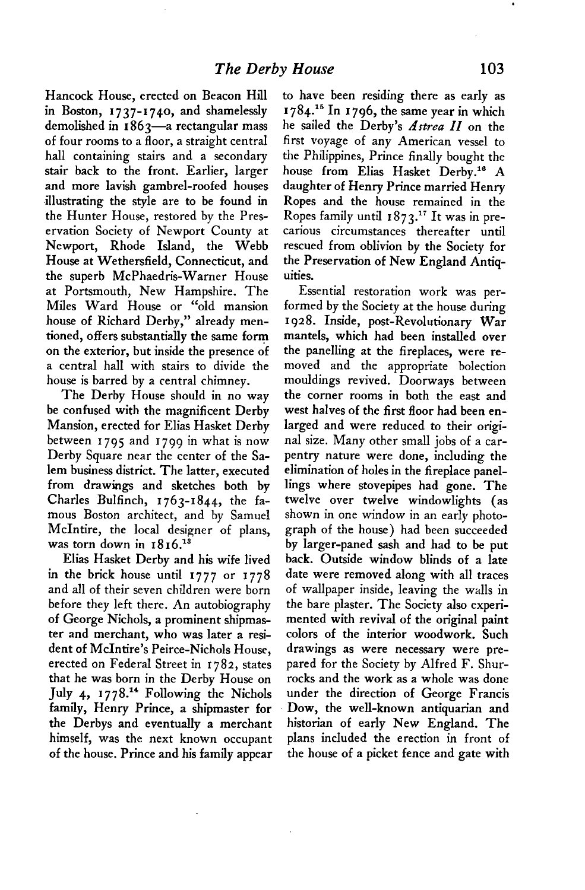**Hancock House, erected on Beacon Hill in Boston, 1737-1740, and shamelessly demolished in I 863-a rectangular mass of four rooms to a floor, a straight central hall containing stairs and a secondary stair back to the front. Earlier, larger and more lavish gambrel-roofed houses -illustrating the style are to be found in the Hunter House, restored by the Preservation Society of Newport County at Newport, Rhode Island, the Webb House at Wethersfield, Connecticut, and the superb McPhaedris-Warner House at Portsmouth, New Hampshire. The Miles Ward House or "old mansion house of Richard Derby," already mentioned, offers substantially the same form on the exterior, but inside the presence of a central hall with stairs to divide the house is barred by a central chimney.** 

**The Derby House should in no way be confused with the magnificent Derby Mansion, erected for Elias Hasket Derby between I 795 and I 799 in what is now Derby Square near the center of the Salem business district. The latter, executed from drawings and sketches both by**  Charles Bulfinch, 1763-1844, the fa**mous Boston architect, and by Samuel McIntire, the local designer of plans,**  was torn down in  $1816.^{13}$ 

**Elias Hasket Derby and his wife lived in the brick house until 1777 or 1778 and all of their seven children were born before they left there. An autobiography of George Nichols, a prominent shipmaster and merchant, who was later a resi**dent of McIntire's Peirce-Nichols House, **erected on Federal Street in 1782, states that he was born in the Derby House on**  July 4, 1778.<sup>14</sup> Following the Nichols **family, Henry Prince, a shipmaster for the Derbys and eventually a merchant himself, was the next known occupant of the house. Prince and his family appear**  **to have been residing there as early as 1784.'~ In 1796, the same year in which he sailed the Derby's Artrea II on the first voyage of any American vessel to the Philippines, Prince finally bought the**  house from Elias Hasket Derby.<sup>16</sup> A **daughter of Henry Prince married Henry Ropes and the house remained in the Ropes family until I 873.l' It was in precarious circumstances thereafter until rescued from oblivion by the Society for the Preservation of New England Antiquities.** 

**Essential restoration work was performed by the Society at the house during I 928. Inside, post-Revolutionary War mantels, which had been installed over the panelling at the fireplaces, were removed and the appropriate bolection mouldings revived. Doorways between the corner rooms in both the east and west halves of the first floor had been enlarged and were reduced to their original size. Many other small jobs of a carpentry nature were done, including the elimination of holes in the fireplace panellings where stovepipes had gone. The twelve over twelve windowlights (as shown in one window in an early photograph of the house) had been succeeded by larger-paned sash and had to be put back. Outside window blinds of a late date were removed along with all traces of wallpaper inside, leaving the walls in the bare plaster. The Society also experimented with revival of the original paint colors of the interior woodwork. Such drawings as were necessary were prepared for the Society by Alfred F. Shurrocks and the work as a whole was done under the direction of George Francis Dow, the well-known antiquarian and historian of early New England. The plans included the erection in front of the house of a picket fence and gate with** 

**.**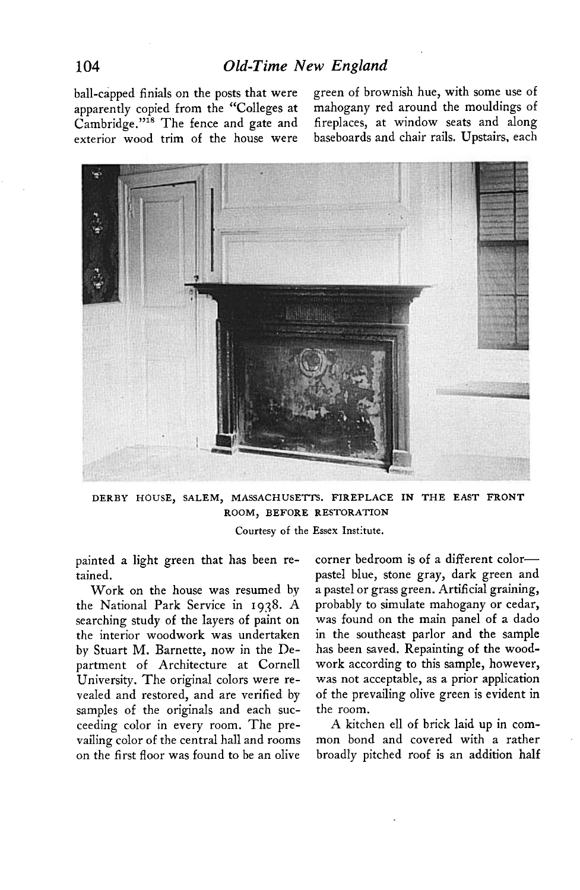**ball-capped finials on the posts that were green of brownish hue, with some use of**  apparently copied from the "Colleges at Cambridge."<sup>18</sup> The fence and gate and fireplaces, at window seats and along **exterior wood trim of the house were baseboards and chair rails. Upstairs, each** 



**DERBY HOUSE, SALEM, MASSACHUSETTS. FIREPLACE IN THE EAST FRONT ROOM, BEFORE RESTORATION** 

**Courtesy of the Essex Institute.** 

**painted a light green that has been retained.** 

**Work on the house was resumed by**  the National Park Service in 1938. A searching study of the layers of paint on **the interior woodwork was undertaken by Stuart M. Barnette, now in the Department of Architecture at Cornell University. The original colors were revealed and restored, and are verified by samples of the originals and each succeeding color in every room. The prevailing color of the central hall and rooms on the first floor was found to be an olive**  **corner bedroom is of a different colorpastel blue, stone gray, dark green and a pastel or grass green. Artificial graining, probably to simulate mahogany or cedar, was found on the main panel of a dado in the southeast parlor and the sample has been saved. Repainting of the woodwork according to this sample, however, was not acceptable, as a prior application of the prevailing olive green is evident in the room.** 

**A kitchen ell of brick laid up in common bond and covered with a rather broadly pitched roof is an addition half**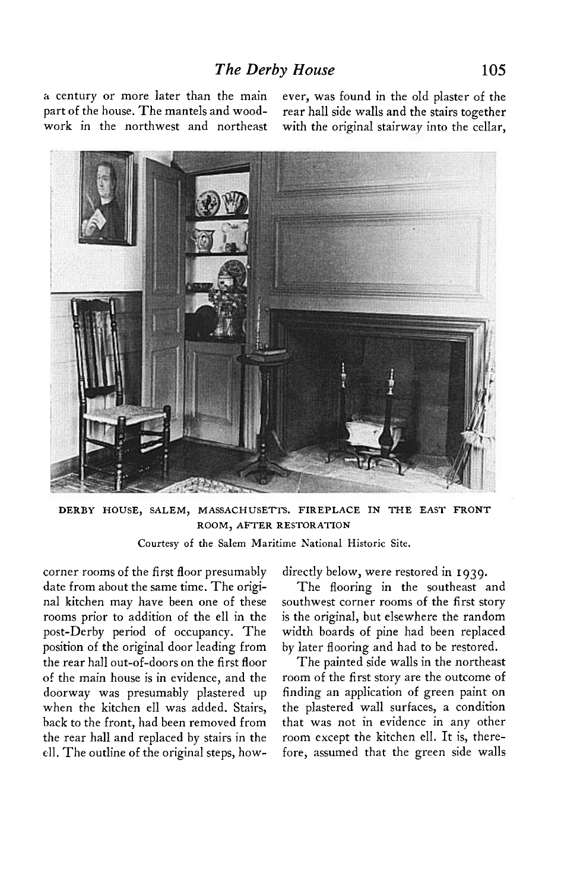**part of the house. The mantels and wood- rear hall side walls and the stairs together work in the northwest and northeast with the original stairway into the cellar,** 

**a century or more later than the main ever, was found in the old plaster of the** 



**DERBY HOUSE, SALEM, MASSACHUSETTS. FIREPLACE IN THE EAST FRONT ROOM, AFTER RESTORATION** 

**Courtesy of the Salem Maritime National Historic Site.** 

**corner rooms of the first floor presumably date from about the same time. The original kitchen may have been one of these rooms prior to addition of the ell in the post-Derby period of occupancy. The position of the original door leading from the rear hall out-of-doors on the first floor of the main house is in evidence, and the doorway was presumably plastered up when the kitchen ell was added. Stairs, back to the front, had been removed from the rear hall and replaced by stairs in the 41. The outline of the original steps, how-** **directly below, were restored in I 939.** 

**The flooring in the southeast and southwest corner rooms of the first story is the original, but elsewhere the random width boards of pine had been replaced by later flooring and had to be restored.** 

**The painted side walls in the northeast room of the first story are the outcome of finding an application of green paint on the plastered wall surfaces, a condition that was not in evidence in any other room except the kitchen ell. It is, therefore, assumed that the green side walls**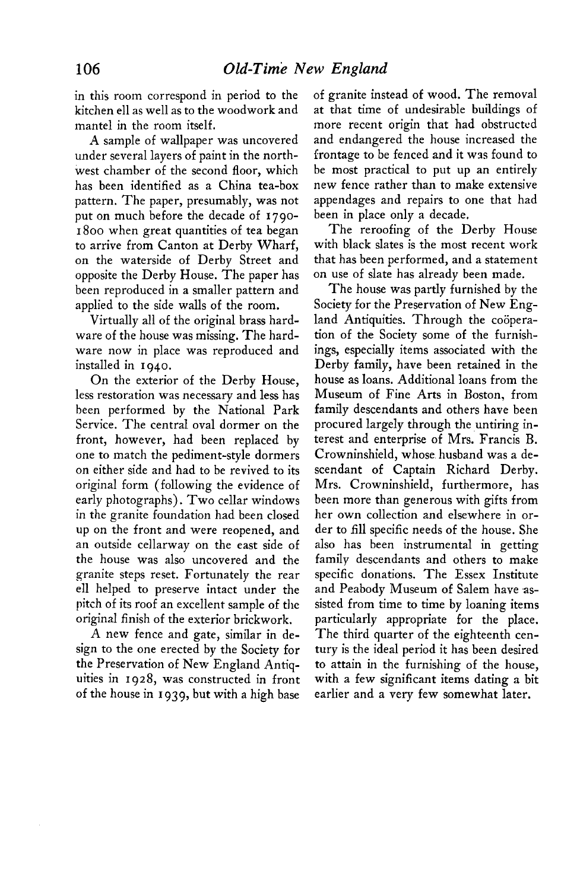**in this room correspond in period to the kitchen ell as well as to the woodwork and mantel in the room itself.** 

**A sample of wallpaper was uncovered under several layers of paint in the northwest chamber of the second floor, which has been identified as a China tea-box pattern, The paper, presumably, was not put on much before the decade of 1790- 1800 when great quantities of tea began to arrive from Canton at Derby Wharf, on the waterside of Derby Street and opposite the Derby House. The paper has been reproduced in a smaller pattern and applied to the side walls of the room.** 

**Virtually all of the original brass hardware of the house was missing. The hardware now in place was reproduced and installed in 1940.** 

**On the exterior of the Derby House, less restoration was necessary and less has been performed by the National Park Service. The central oval dormer on the front, however, had been replaced by one to match the pediment-style dormers on either side and had to be revived to its original form (following the evidence of early photographs). Two cellar windows in the granite foundation had been closed up on the front and were reopened, and an outside cellarway on the east side of the house was also uncovered and the granite steps reset. Fortunately the rear ell helped to preserve intact under the pitch of its roof an excellent sample of the original finish of the exterior brickwork.** 

**A new fence and gate, similar in design to the one erected by the Society for the Preservation of New England Antiquities in 1928, was constructed in front of the house in I 939, but with a high base** 

**of granite instead of wood. The removal at that time of undesirable buildings of more recent origin that had obstructed and endangered the house increased the frontage to be fenced and it was found to be most practical to put up an entirely new fence rather than to make extensive appendages and repairs to one that had been in place only a decade.** 

**The reroofing of the Derby House with black slates is the most recent work that has been performed, and a statement on use of slate has already been made.** 

**The house was partly furnished by the Society for the Preservation of New Eng**land Antiquities. Through the coöpera**tion of the Society some of the furnishings, especially items associated with the Derby family, have been retained in the house as loans. Additional loans from the Museum of Fine Arts in Boston, from family descendants and others have been procured largely through the untiring interest and enterprise of Mrs. Francis B. Crowninshield, whose husband was a descendant of Captain Richard Derby. Mrs. Crowninshield, furthermore, has been more than generous with gifts from her own collection and elsewhere in order to fill specific needs of the house. She also has been instrumental in getting family descendants and others to make specific donations. The Essex Institute**  and Peabody Museum of Salem have as**sisted from time to time by loaning items particularly appropriate for the place. The third quarter of the eighteenth century is the ideal period it has been desired to attain in the furnishing of the house, with a few significant items dating a bit earlier and a very few somewhat later.**